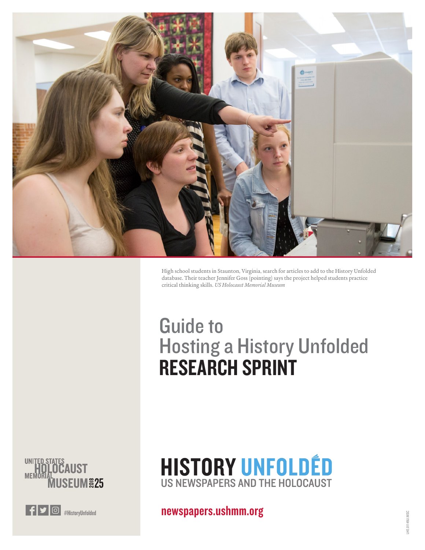

High school students in Staunton, Virginia, search for articles to add to the History Unfolded database. Their teacher Jennifer Goss (pointing) says the project helped students practice critical thinking skills. *US Holocaust Memorial Museum*

# Guide to Hosting a History Unfolded RESEARCH SPRINT

**SEUM&25** 



**HISTORY UNFOLDÉD** US NEWSPAPERS AND THE HOLOCAUST

**F**  $\bullet$  **6** #HistoryUnfolded **[newspapers.ushmm.org](https://newspapers.ushmm.org/)**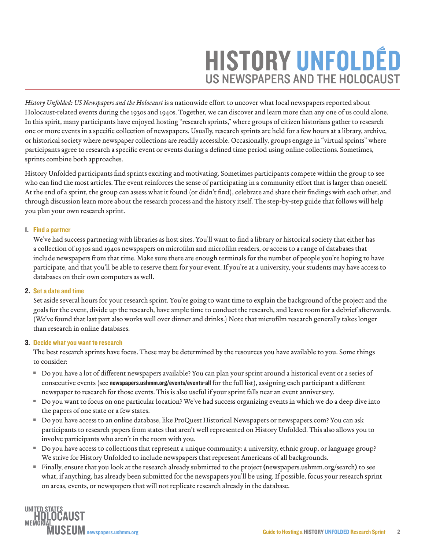# **HISTORY UNFOLDÉD** US NEWSPAPERS AND THE HOLOCAUST

*History Unfolded: US Newspapers and the Holocaust* is a nationwide effort to uncover what local newspapers reported about Holocaust-related events during the 1930s and 1940s. Together, we can discover and learn more than any one of us could alone. In this spirit, many participants have enjoyed hosting "research sprints," where groups of citizen historians gather to research one or more events in a specific collection of newspapers. Usually, research sprints are held for a few hours at a library, archive, or historical society where newspaper collections are readily accessible. Occasionally, groups engage in "virtual sprints" where participants agree to research a specific event or events during a defined time period using online collections. Sometimes, sprints combine both approaches.

History Unfolded participants find sprints exciting and motivating. Sometimes participants compete within the group to see who can find the most articles. The event reinforces the sense of participating in a community effort that is larger than oneself. At the end of a sprint, the group can assess what it found (or didn't find), celebrate and share their findings with each other, and through discussion learn more about the research process and the history itself. The step-by-step guide that follows will help you plan your own research sprint.

### 1. Find a partner

We've had success partnering with libraries as host sites. You'll want to find a library or historical society that either has a collection of 1930s and 1940s newspapers on microfilm and microfilm readers, or access to a range of databases that include newspapers from that time. Make sure there are enough terminals for the number of people you're hoping to have participate, and that you'll be able to reserve them for your event. If you're at a university, your students may have access to databases on their own computers as well.

# 2. Set a date and time

Set aside several hours for your research sprint. You're going to want time to explain the background of the project and the goals for the event, divide up the research, have ample time to conduct the research, and leave room for a debrief afterwards. (We've found that last part also works well over dinner and drinks.) Note that microfilm research generally takes longer than research in online databases.

# 3. Decide what you want to research

The best research sprints have focus. These may be determined by the resources you have available to you. Some things to consider:

- <sup>n</sup> Do you have a lot of different newspapers available? You can plan your sprint around a historical event or a series of consecutive events (see [newspapers.ushmm.org/events/events-all](http://newspapers.ushmm.org/events/events-all) for the full list), assigning each participant a different newspaper to research for those events. This is also useful if your sprint falls near an event anniversary.
- <sup>n</sup> Do you want to focus on one particular location? We've had success organizing events in which we do a deep dive into the papers of one state or a few states.
- <sup>n</sup> Do you have access to an online database, like ProQuest Historical Newspapers or [newspapers.com](http://newspapers.com)? You can ask participants to research papers from states that aren't well represented on History Unfolded. This also allows you to involve participants who aren't in the room with you.
- <sup>n</sup> Do you have access to collections that represent a unique community: a university, ethnic group, or language group? We strive for History Unfolded to include newspapers that represent Americans of all backgrounds.
- <sup>n</sup> Finally, ensure that you look at the research already submitted to the project ([newspapers.ushmm.org/search](https://newspapers.ushmm.org/search)) to see what, if anything, has already been submitted for the newspapers you'll be using. If possible, focus your research sprint on areas, events, or newspapers that will not replicate research already in the database.

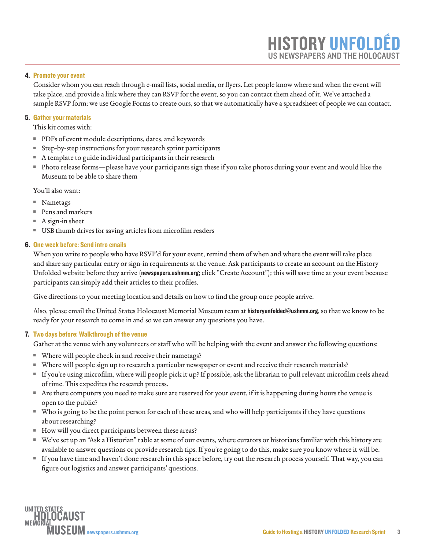# 4. Promote your event

Consider whom you can reach through e-mail lists, social media, or flyers. Let people know where and when the event will take place, and provide a link where they can RSVP for the event, so you can contact them ahead of it. We've attached a sample RSVP form; we use Google Forms to create ours, so that we automatically have a spreadsheet of people we can contact.

### 5. Gather your materials

This kit comes with:

- PDFs of event module descriptions, dates, and keywords
- Step-by-step instructions for your research sprint participants
- $A$  template to guide individual participants in their research
- <sup>n</sup> Photo release forms—please have your participants sign these if you take photos during your event and would like the Museum to be able to share them

You'll also want:

- Nametags
- Pens and markers
- $A$  sign-in sheet
- USB thumb drives for saving articles from microfilm readers

#### 6. One week before: Send intro emails

When you write to people who have RSVP'd for your event, remind them of when and where the event will take place and share any particular entry or sign-in requirements at the venue. Ask participants to create an account on the History Unfolded website before they arrive ([newspapers.ushmm.org](https://www.newspapers.ushmm.org); click "Create Account"); this will save time at your event because participants can simply add their articles to their profiles.

Give directions to your meeting location and details on how to find the group once people arrive.

Also, please email the United States Holocaust Memorial Museum team at [historyunfolded@ushmm.org](mailto:historyunfolded%40ushmm.org?subject=), so that we know to be ready for your research to come in and so we can answer any questions you have.

#### 7. Two days before: Walkthrough of the venue

Gather at the venue with any volunteers or staff who will be helping with the event and answer the following questions:

- Where will people check in and receive their nametags?
- Where will people sign up to research a particular newspaper or event and receive their research materials?
- <sup>n</sup> If you're using microfilm, where will people pick it up? If possible, ask the librarian to pull relevant microfilm reels ahead of time. This expedites the research process.
- <sup>n</sup> Are there computers you need to make sure are reserved for your event, if it is happening during hours the venue is open to the public?
- <sup>n</sup> Who is going to be the point person for each of these areas, and who will help participants if they have questions about researching?
- How will you direct participants between these areas?
- <sup>n</sup> We've set up an "Ask a Historian" table at some of our events, where curators or historians familiar with this history are available to answer questions or provide research tips. If you're going to do this, make sure you know where it will be.
- <sup>n</sup> If you have time and haven't done research in this space before, try out the research process yourself. That way, you can figure out logistics and answer participants' questions.



**HISTORY UNFOLD** 

US NEWSPAPERS AND THE HOLOCAUST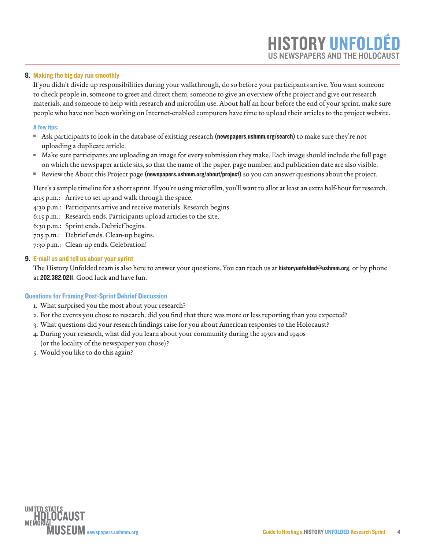#### 8. Making the big day run smoothly

If you didn't divide up responsibilities during your walkthrough, do so before your participants arrive. You want someone to check people in, someone to greet and direct them, someone to give an overview of the project and give out research materials, and someone to help with research and microfilm use. About half an hour before the end of your sprint, make sure people who have not been working on Internet-enabled computers have time to upload their articles to the project website.

#### A few tips:

- Ask participants to look in the database of existing research ([newspapers.ushmm.org/search](http://newspapers.ushmm.org/search)) to make sure they're not uploading a duplicate article.
- <sup>n</sup> Make sure participants are uploading an image for every submission they make. Each image should include the full page on which the newspaper article sits, so that the name of the paper, page number, and publication date are also visible.
- <sup>n</sup> Review the About this Project page ([newspapers.ushmm.org/about/project\)](http://newspapers.ushmm.org/about/project) so you can answer questions about the project.

Here's a sample timeline for a short sprint. If you're using microfilm, you'll want to allot at least an extra half-hour for research. 4:15 p.m.: Arrive to set up and walk through the space.

- 4:30 p.m.: Participants arrive and receive materials. Research begins.
- 6:15 p.m.: Research ends. Participants upload articles to the site.

6:30 p.m.: Sprint ends. Debrief begins.

- 7:15 p.m.: Debrief ends. Clean-up begins.
- 7:30 p.m.: Clean-up ends. Celebration!

#### 9. E-mail us and tell us about your sprint

The History Unfolded team is also here to answer your questions. You can reach us at [historyunfolded@ushmm.org](mailto:historyunfolded%40ushmm.org?subject=), or by phone at 202.382.0211. Good luck and have fun.

#### Questions for Framing Post-Sprint Debrief Discussion

- 1. What surprised you the most about your research?
- 2. For the events you chose to research, did you find that there was more or less reporting than you expected?
- 3. What questions did your research findings raise for you about American responses to the Holocaust?
- 4. During your research, what did you learn about your community during the 1930s and 1940s (or the locality of the newspaper you chose)?
- 5. Would you like to do this again?



**HISTORY UNFOLD** 

US NEWSPAPERS AND THE HOLOCAUST